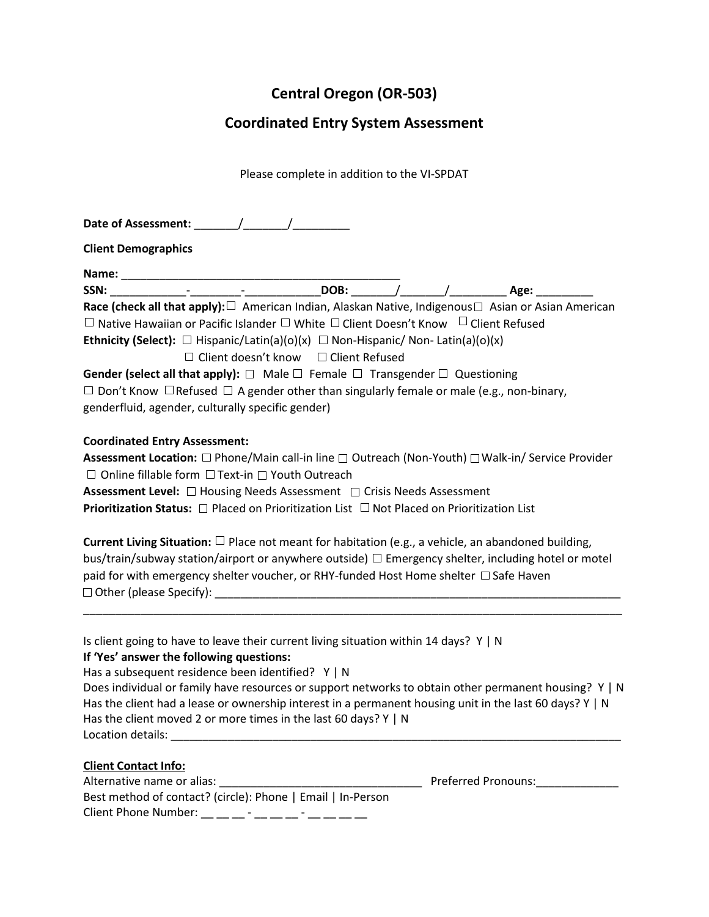# **Central Oregon (OR-503)**

## **Coordinated Entry System Assessment**

Please complete in addition to the VI-SPDAT

**Date of Assessment:** \_\_\_\_\_\_\_/\_\_\_\_\_\_\_/\_\_\_\_\_\_\_\_\_

**Client Demographics**

| N <sub>2</sub> | - |                          |                          |  |
|----------------|---|--------------------------|--------------------------|--|
| SSN:           |   | $\overline{\phantom{0}}$ | $\overline{\phantom{0}}$ |  |

**Race (check all that apply):** □ American Indian, Alaskan Native, Indigenous □ Asian or Asian American

 $\Box$  Native Hawaiian or Pacific Islander  $\Box$  White  $\Box$  Client Doesn't Know  $\Box$  Client Refused

**Ethnicity (Select):**  $\Box$  Hispanic/Latin(a)(o)(x)  $\Box$  Non-Hispanic/ Non-Latin(a)(o)(x)

 $\Box$  Client doesn't know  $\Box$  Client Refused

| <b>Gender (select all that apply):</b> $\Box$ Male $\Box$ Female $\Box$ Transgender $\Box$ Questioning   |
|----------------------------------------------------------------------------------------------------------|
| $\Box$ Don't Know $\Box$ Refused $\Box$ A gender other than singularly female or male (e.g., non-binary, |
| genderfluid, agender, culturally specific gender)                                                        |

### **Coordinated Entry Assessment:**

**Assessment Location:** □ Phone/Main call-in line □ Outreach (Non-Youth) □ Walk-in/ Service Provider  $\Box$  Online fillable form  $\Box$  Text-in  $\Box$  Youth Outreach

**Assessment Level:** □ Housing Needs Assessment □ Crisis Needs Assessment

**Prioritization Status:** □ Placed on Prioritization List □ Not Placed on Prioritization List

**Current Living Situation:** Place not meant for habitation (e.g., a vehicle, an abandoned building, bus/train/subway station/airport or anywhere outside)  $\Box$  Emergency shelter, including hotel or motel paid for with emergency shelter voucher, or RHY-funded Host Home shelter  $\Box$  Safe Haven Other (please Specify): \_\_\_\_\_\_\_\_\_\_\_\_\_\_\_\_\_\_\_\_\_\_\_\_\_\_\_\_\_\_\_\_\_\_\_\_\_\_\_\_\_\_\_\_\_\_\_\_\_\_\_\_\_\_\_\_\_\_\_\_\_\_\_\_

\_\_\_\_\_\_\_\_\_\_\_\_\_\_\_\_\_\_\_\_\_\_\_\_\_\_\_\_\_\_\_\_\_\_\_\_\_\_\_\_\_\_\_\_\_\_\_\_\_\_\_\_\_\_\_\_\_\_\_\_\_\_\_\_\_\_\_\_\_\_\_\_\_\_\_\_\_\_\_\_\_\_\_\_\_

Is client going to have to leave their current living situation within 14 days?  $Y \mid N$ 

#### **If 'Yes' answer the following questions:**

Has a subsequent residence been identified? Y | N

| Does individual or family have resources or support networks to obtain other permanent housing? Y   N        |
|--------------------------------------------------------------------------------------------------------------|
| Has the client had a lease or ownership interest in a permanent housing unit in the last 60 days? $Y \mid N$ |
| Has the client moved 2 or more times in the last 60 days? $Y \mid N$                                         |
| Location details:                                                                                            |

#### **Client Contact Info:**

| Alternative name or alias:                                  |
|-------------------------------------------------------------|
| Best method of contact? (circle): Phone   Email   In-Person |
| Client Phone Number:<br>-<br>-                              |

Preferred Pronouns: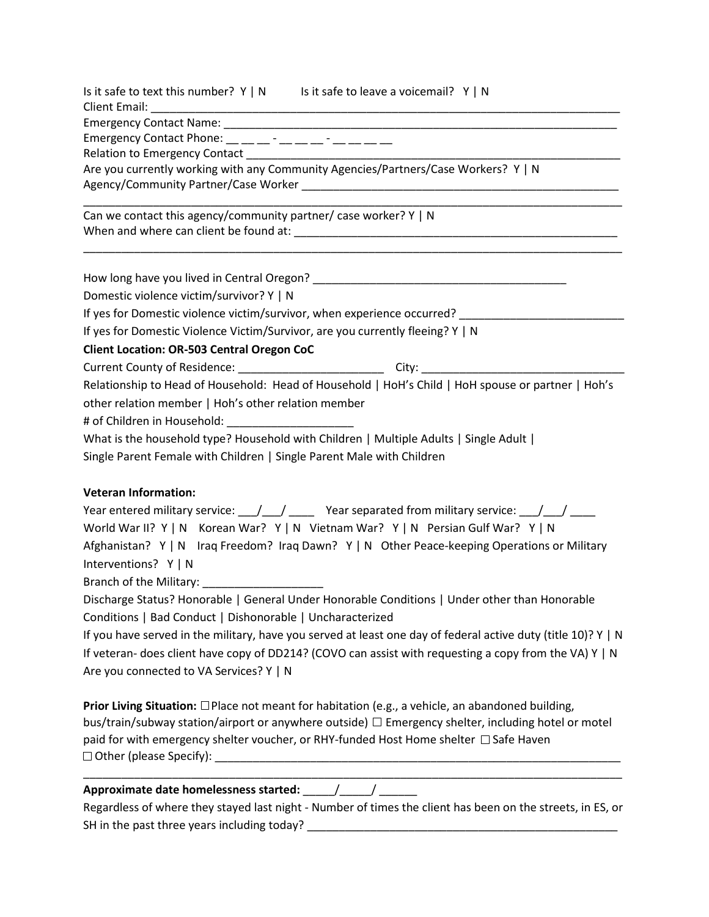| Is it safe to text this number? $Y \mid N$ Is it safe to leave a voicemail? $Y \mid N$                                                                                                                                                                                                                                                                                                       |  |  |  |  |  |  |
|----------------------------------------------------------------------------------------------------------------------------------------------------------------------------------------------------------------------------------------------------------------------------------------------------------------------------------------------------------------------------------------------|--|--|--|--|--|--|
| Client Email:                                                                                                                                                                                                                                                                                                                                                                                |  |  |  |  |  |  |
|                                                                                                                                                                                                                                                                                                                                                                                              |  |  |  |  |  |  |
| Emergency Contact Phone: __ _ _ _ _ _ _ _ _ _ _ _ _ _ _ _                                                                                                                                                                                                                                                                                                                                    |  |  |  |  |  |  |
| Are you currently working with any Community Agencies/Partners/Case Workers? Y   N                                                                                                                                                                                                                                                                                                           |  |  |  |  |  |  |
|                                                                                                                                                                                                                                                                                                                                                                                              |  |  |  |  |  |  |
|                                                                                                                                                                                                                                                                                                                                                                                              |  |  |  |  |  |  |
| Can we contact this agency/community partner/ case worker? Y   N                                                                                                                                                                                                                                                                                                                             |  |  |  |  |  |  |
|                                                                                                                                                                                                                                                                                                                                                                                              |  |  |  |  |  |  |
|                                                                                                                                                                                                                                                                                                                                                                                              |  |  |  |  |  |  |
| Domestic violence victim/survivor? Y   N                                                                                                                                                                                                                                                                                                                                                     |  |  |  |  |  |  |
| If yes for Domestic violence victim/survivor, when experience occurred? ______________                                                                                                                                                                                                                                                                                                       |  |  |  |  |  |  |
| If yes for Domestic Violence Victim/Survivor, are you currently fleeing? Y   N                                                                                                                                                                                                                                                                                                               |  |  |  |  |  |  |
| <b>Client Location: OR-503 Central Oregon CoC</b>                                                                                                                                                                                                                                                                                                                                            |  |  |  |  |  |  |
| Current County of Residence: ______________________________City: _______________                                                                                                                                                                                                                                                                                                             |  |  |  |  |  |  |
| Relationship to Head of Household: Head of Household   HoH's Child   HoH spouse or partner   Hoh's                                                                                                                                                                                                                                                                                           |  |  |  |  |  |  |
| other relation member   Hoh's other relation member                                                                                                                                                                                                                                                                                                                                          |  |  |  |  |  |  |
| # of Children in Household: ________________________                                                                                                                                                                                                                                                                                                                                         |  |  |  |  |  |  |
| What is the household type? Household with Children   Multiple Adults   Single Adult                                                                                                                                                                                                                                                                                                         |  |  |  |  |  |  |
| Single Parent Female with Children   Single Parent Male with Children                                                                                                                                                                                                                                                                                                                        |  |  |  |  |  |  |
|                                                                                                                                                                                                                                                                                                                                                                                              |  |  |  |  |  |  |
| <b>Veteran Information:</b>                                                                                                                                                                                                                                                                                                                                                                  |  |  |  |  |  |  |
| Year entered military service: $\frac{1}{1-\frac{1}{1-\frac{1}{1-\frac{1}{1-\frac{1}{1-\frac{1}{1-\frac{1}{1-\frac{1}{1-\frac{1}{1-\frac{1}{1-\frac{1}{1-\frac{1}{1-\frac{1}{1-\frac{1}{1-\frac{1}{1-\frac{1}{1-\frac{1}{1-\frac{1}{1-\frac{1}{1-\frac{1}{1-\frac{1}{1-\frac{1}{1-\frac{1}{1-\frac{1}{1-\frac{1}{1-\frac{1}{1-\frac{1}{1-\frac{1}{1-\frac{1}{1-\frac{1}{1-\frac{1}{1-\frac{$ |  |  |  |  |  |  |
| World War II? Y   N Korean War? Y   N Vietnam War? Y   N Persian Gulf War? Y   N                                                                                                                                                                                                                                                                                                             |  |  |  |  |  |  |
| Afghanistan? Y   N Iraq Freedom? Iraq Dawn? Y   N Other Peace-keeping Operations or Military                                                                                                                                                                                                                                                                                                 |  |  |  |  |  |  |
| Interventions? Y   N                                                                                                                                                                                                                                                                                                                                                                         |  |  |  |  |  |  |
| Branch of the Military: _____________________                                                                                                                                                                                                                                                                                                                                                |  |  |  |  |  |  |
| Discharge Status? Honorable   General Under Honorable Conditions   Under other than Honorable                                                                                                                                                                                                                                                                                                |  |  |  |  |  |  |
| Conditions   Bad Conduct   Dishonorable   Uncharacterized                                                                                                                                                                                                                                                                                                                                    |  |  |  |  |  |  |
| If you have served in the military, have you served at least one day of federal active duty (title 10)? Y   N                                                                                                                                                                                                                                                                                |  |  |  |  |  |  |
| If veteran- does client have copy of DD214? (COVO can assist with requesting a copy from the VA) Y   N                                                                                                                                                                                                                                                                                       |  |  |  |  |  |  |
| Are you connected to VA Services? Y   N                                                                                                                                                                                                                                                                                                                                                      |  |  |  |  |  |  |
| <b>Prior Living Situation:</b> $\Box$ Place not meant for habitation (e.g., a vehicle, an abandoned building,                                                                                                                                                                                                                                                                                |  |  |  |  |  |  |
| bus/train/subway station/airport or anywhere outside) □ Emergency shelter, including hotel or motel                                                                                                                                                                                                                                                                                          |  |  |  |  |  |  |
| paid for with emergency shelter voucher, or RHY-funded Host Home shelter □ Safe Haven                                                                                                                                                                                                                                                                                                        |  |  |  |  |  |  |
|                                                                                                                                                                                                                                                                                                                                                                                              |  |  |  |  |  |  |
|                                                                                                                                                                                                                                                                                                                                                                                              |  |  |  |  |  |  |
| Regardless of where they stayed last night - Number of times the client has been on the streets, in ES, or                                                                                                                                                                                                                                                                                   |  |  |  |  |  |  |

SH in the past three years including today? \_\_\_\_\_\_\_\_\_\_\_\_\_\_\_\_\_\_\_\_\_\_\_\_\_\_\_\_\_\_\_\_\_\_\_\_\_\_\_\_\_\_\_\_\_\_\_\_\_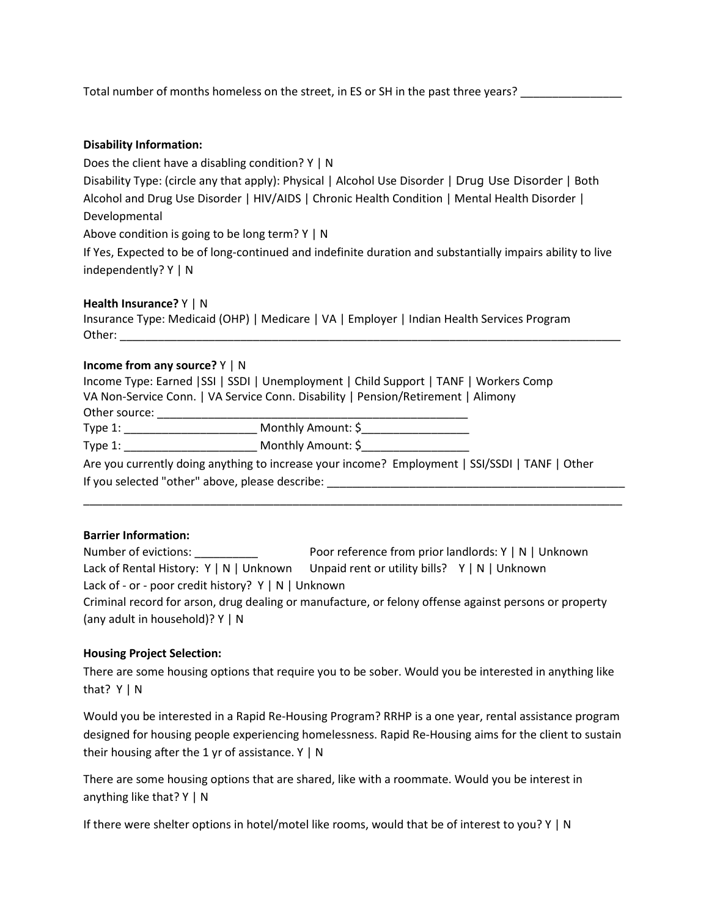Total number of months homeless on the street, in ES or SH in the past three years?

#### **Disability Information:**

Does the client have a disabling condition? Y | N

Disability Type: (circle any that apply): Physical | Alcohol Use Disorder | Drug Use Disorder | Both Alcohol and Drug Use Disorder | HIV/AIDS | Chronic Health Condition | Mental Health Disorder | Developmental

Above condition is going to be long term? Y | N

If Yes, Expected to be of long-continued and indefinite duration and substantially impairs ability to live independently? Y | N

#### **Health Insurance?** Y | N

Insurance Type: Medicaid (OHP) | Medicare | VA | Employer | Indian Health Services Program Other: **with a set of the set of the set of the set of the set of the set of the set of the set of the set of the set of the set of the set of the set of the set of the set of the set of the set of the set of the set of th** 

#### **Income from any source?** Y | N

|                                                                                   | Income Type: Earned   SSI   SSDI   Unemployment   Child Support   TANF   Workers Comp          |  |  |  |  |
|-----------------------------------------------------------------------------------|------------------------------------------------------------------------------------------------|--|--|--|--|
| VA Non-Service Conn.   VA Service Conn. Disability   Pension/Retirement   Alimony |                                                                                                |  |  |  |  |
| Other source:                                                                     |                                                                                                |  |  |  |  |
| Type 1:                                                                           | Monthly Amount: \$                                                                             |  |  |  |  |
| Type 1:                                                                           | Monthly Amount: \$                                                                             |  |  |  |  |
|                                                                                   | Are you currently doing anything to increase your income? Employment   SSI/SSDI   TANF   Other |  |  |  |  |
|                                                                                   | If you selected "other" above, please describe:                                                |  |  |  |  |
|                                                                                   |                                                                                                |  |  |  |  |

#### **Barrier Information:**

| Number of evictions:                                        | Poor reference from prior landlords: Y   N   Unknown                                                  |  |  |
|-------------------------------------------------------------|-------------------------------------------------------------------------------------------------------|--|--|
|                                                             | Lack of Rental History: $Y \mid N \mid$ Unknown Unpaid rent or utility bills? $Y \mid N \mid$ Unknown |  |  |
| Lack of - or - poor credit history? $Y \mid N \mid$ Unknown |                                                                                                       |  |  |
|                                                             | Criminal record for arson, drug dealing or manufacture, or felony offense against persons or property |  |  |
| (any adult in household)? $Y \mid N$                        |                                                                                                       |  |  |

#### **Housing Project Selection:**

There are some housing options that require you to be sober. Would you be interested in anything like that? Y | N

Would you be interested in a Rapid Re-Housing Program? RRHP is a one year, rental assistance program designed for housing people experiencing homelessness. Rapid Re-Housing aims for the client to sustain their housing after the 1 yr of assistance.  $Y \mid N$ 

There are some housing options that are shared, like with a roommate. Would you be interest in anything like that? Y | N

If there were shelter options in hotel/motel like rooms, would that be of interest to you? Y | N